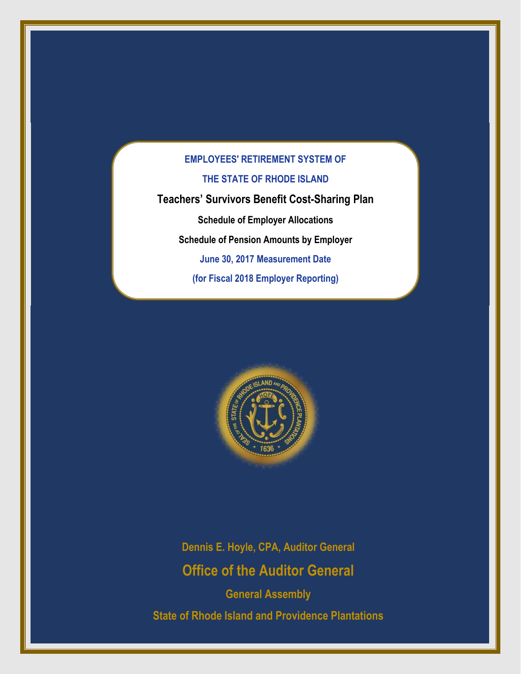## **Teachers' Survivors Benefit Cost-Sharing Plan**

**Schedule of Employer Allocations Schedule of Pension Amounts by Employer June 30, 2017 Measurement Date (for Fiscal 2018 Employer Reporting)**



**Dennis E. Hoyle, CPA, Auditor General Office of the Auditor General**

**General Assembly State of Rhode Island and Providence Plantations**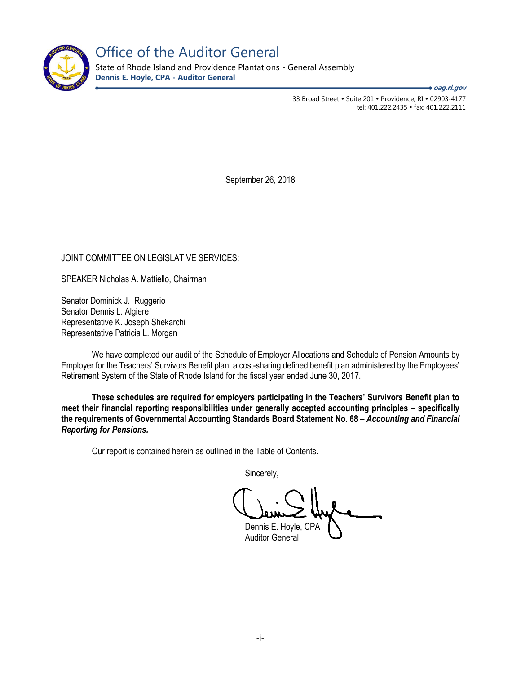

Office of the Auditor General

State of Rhode Island and Providence Plantations - General Assembly **Dennis E. Hoyle, CPA - Auditor General**

**oag.ri.gov**

33 Broad Street • Suite 201 • Providence, RI • 02903-4177 tel: 401.222.2435 • fax: 401.222.2111

September 26, 2018

## JOINT COMMITTEE ON LEGISLATIVE SERVICES:

SPEAKER Nicholas A. Mattiello, Chairman

Senator Dominick J. Ruggerio Senator Dennis L. Algiere Representative K. Joseph Shekarchi Representative Patricia L. Morgan

We have completed our audit of the Schedule of Employer Allocations and Schedule of Pension Amounts by Employer for the Teachers' Survivors Benefit plan, a cost-sharing defined benefit plan administered by the Employees' Retirement System of the State of Rhode Island for the fiscal year ended June 30, 2017.

**These schedules are required for employers participating in the Teachers' Survivors Benefit plan to meet their financial reporting responsibilities under generally accepted accounting principles – specifically the requirements of Governmental Accounting Standards Board Statement No. 68 –** *Accounting and Financial Reporting for Pensions.* 

Our report is contained herein as outlined in the Table of Contents.

Sincerely,

Dennis E. Hoyle, CPA

Auditor General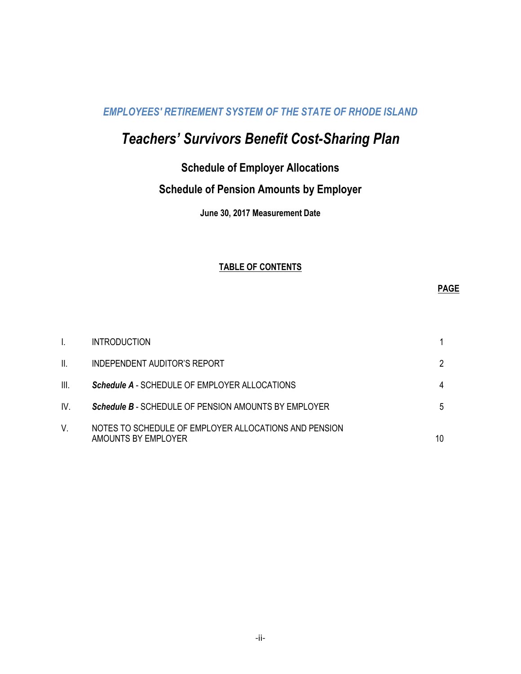# *Teachers' Survivors Benefit Cost-Sharing Plan*

## **Schedule of Employer Allocations**

## **Schedule of Pension Amounts by Employer**

**June 30, 2017 Measurement Date** 

## **TABLE OF CONTENTS**

## **PAGE**

|     | <b>INTRODUCTION</b>                                                          |    |
|-----|------------------------------------------------------------------------------|----|
| Ⅱ.  | INDEPENDENT AUDITOR'S REPORT                                                 | 2  |
| Ш.  | <b>Schedule A - SCHEDULE OF EMPLOYER ALLOCATIONS</b>                         | 4  |
| IV. | <b>Schedule B</b> - SCHEDULE OF PENSION AMOUNTS BY EMPLOYER                  | 5  |
| V.  | NOTES TO SCHEDULE OF EMPLOYER ALLOCATIONS AND PENSION<br>AMOUNTS BY EMPLOYER | 10 |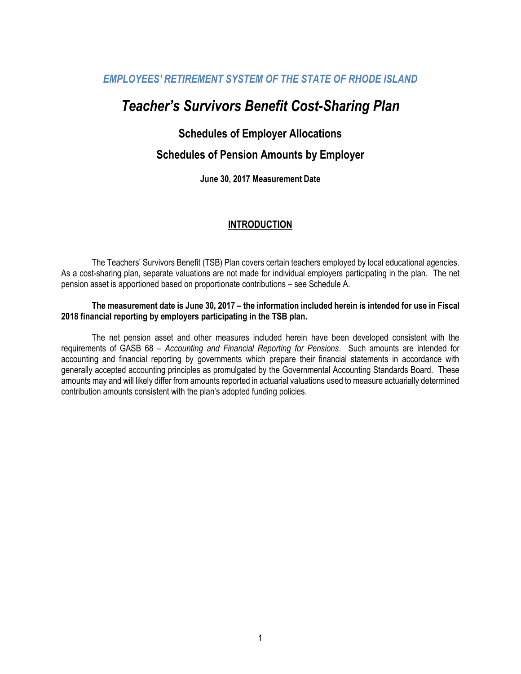## *Teacher's Survivors Benefit Cost-Sharing Plan*

## **Schedules of Employer Allocations**

## **Schedules of Pension Amounts by Employer**

**June 30, 2017 Measurement Date** 

## **INTRODUCTION**

The Teachers' Survivors Benefit (TSB) Plan covers certain teachers employed by local educational agencies. As a cost-sharing plan, separate valuations are not made for individual employers participating in the plan. The net pension asset is apportioned based on proportionate contributions – see Schedule A.

#### **The measurement date is June 30, 2017 – the information included herein is intended for use in Fiscal 2018 financial reporting by employers participating in the TSB plan.**

The net pension asset and other measures included herein have been developed consistent with the requirements of GASB 68 – *Accounting and Financial Reporting for Pensions*. Such amounts are intended for accounting and financial reporting by governments which prepare their financial statements in accordance with generally accepted accounting principles as promulgated by the Governmental Accounting Standards Board. These amounts may and will likely differ from amounts reported in actuarial valuations used to measure actuarially determined contribution amounts consistent with the plan's adopted funding policies.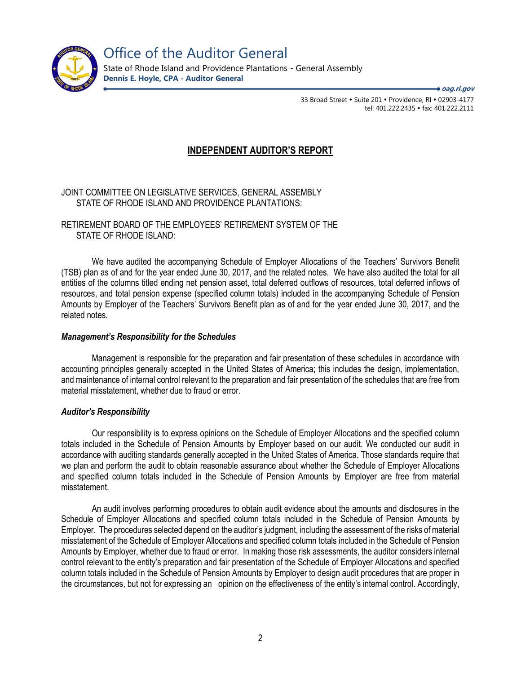

Office of the Auditor General

State of Rhode Island and Providence Plantations - General Assembly **Dennis E. Hoyle, CPA - Auditor General**

> 33 Broad Street • Suite 201 • Providence, RI • 02903-4177 tel: 401.222.2435 · fax: 401.222.2111 **oag.ri.gov**

## **INDEPENDENT AUDITOR'S REPORT**

JOINT COMMITTEE ON LEGISLATIVE SERVICES, GENERAL ASSEMBLY STATE OF RHODE ISLAND AND PROVIDENCE PLANTATIONS:

RETIREMENT BOARD OF THE EMPLOYEES' RETIREMENT SYSTEM OF THE STATE OF RHODE ISLAND:

We have audited the accompanying Schedule of Employer Allocations of the Teachers' Survivors Benefit (TSB) plan as of and for the year ended June 30, 2017, and the related notes. We have also audited the total for all entities of the columns titled ending net pension asset, total deferred outflows of resources, total deferred inflows of resources, and total pension expense (specified column totals) included in the accompanying Schedule of Pension Amounts by Employer of the Teachers' Survivors Benefit plan as of and for the year ended June 30, 2017, and the related notes.

### *Management's Responsibility for the Schedules*

Management is responsible for the preparation and fair presentation of these schedules in accordance with accounting principles generally accepted in the United States of America; this includes the design, implementation, and maintenance of internal control relevant to the preparation and fair presentation of the schedules that are free from material misstatement, whether due to fraud or error.

#### *Auditor's Responsibility*

Our responsibility is to express opinions on the Schedule of Employer Allocations and the specified column totals included in the Schedule of Pension Amounts by Employer based on our audit. We conducted our audit in accordance with auditing standards generally accepted in the United States of America. Those standards require that we plan and perform the audit to obtain reasonable assurance about whether the Schedule of Employer Allocations and specified column totals included in the Schedule of Pension Amounts by Employer are free from material misstatement.

An audit involves performing procedures to obtain audit evidence about the amounts and disclosures in the Schedule of Employer Allocations and specified column totals included in the Schedule of Pension Amounts by Employer. The procedures selected depend on the auditor's judgment, including the assessment of the risks of material misstatement of the Schedule of Employer Allocations and specified column totals included in the Schedule of Pension Amounts by Employer, whether due to fraud or error. In making those risk assessments, the auditor considers internal control relevant to the entity's preparation and fair presentation of the Schedule of Employer Allocations and specified column totals included in the Schedule of Pension Amounts by Employer to design audit procedures that are proper in the circumstances, but not for expressing an opinion on the effectiveness of the entity's internal control. Accordingly,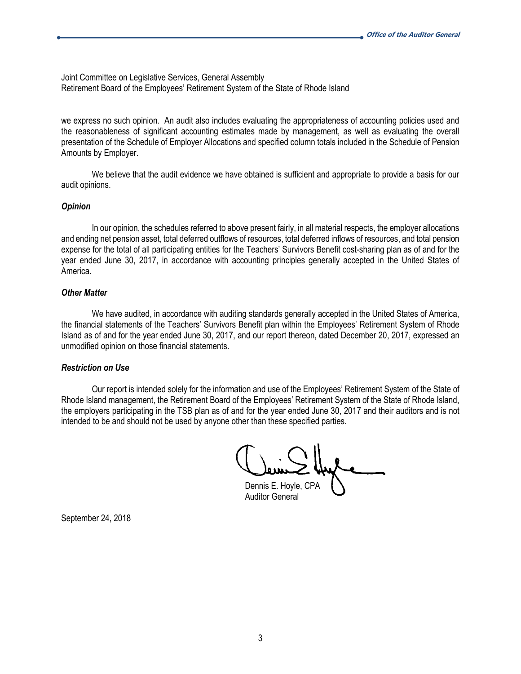Joint Committee on Legislative Services, General Assembly Retirement Board of the Employees' Retirement System of the State of Rhode Island

we express no such opinion. An audit also includes evaluating the appropriateness of accounting policies used and the reasonableness of significant accounting estimates made by management, as well as evaluating the overall presentation of the Schedule of Employer Allocations and specified column totals included in the Schedule of Pension Amounts by Employer.

We believe that the audit evidence we have obtained is sufficient and appropriate to provide a basis for our audit opinions.

#### *Opinion*

In our opinion, the schedules referred to above present fairly, in all material respects, the employer allocations and ending net pension asset, total deferred outflows of resources, total deferred inflows of resources, and total pension expense for the total of all participating entities for the Teachers' Survivors Benefit cost-sharing plan as of and for the year ended June 30, 2017, in accordance with accounting principles generally accepted in the United States of America.

#### *Other Matter*

We have audited, in accordance with auditing standards generally accepted in the United States of America, the financial statements of the Teachers' Survivors Benefit plan within the Employees' Retirement System of Rhode Island as of and for the year ended June 30, 2017, and our report thereon, dated December 20, 2017, expressed an unmodified opinion on those financial statements.

#### *Restriction on Use*

Our report is intended solely for the information and use of the Employees' Retirement System of the State of Rhode Island management, the Retirement Board of the Employees' Retirement System of the State of Rhode Island, the employers participating in the TSB plan as of and for the year ended June 30, 2017 and their auditors and is not intended to be and should not be used by anyone other than these specified parties.

Dennis E. Hoyle, CPA

Auditor General

September 24, 2018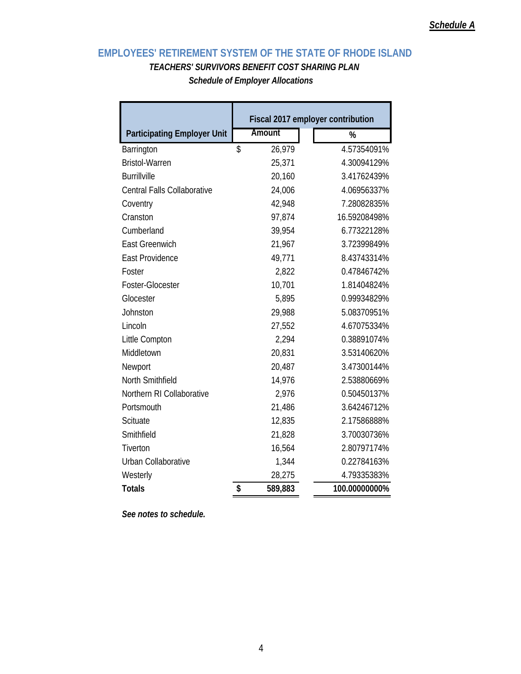## **EMPLOYEES' RETIREMENT SYSTEM OF THE STATE OF RHODE ISLAND** *TEACHERS' SURVIVORS BENEFIT COST SHARING PLAN*

*Schedule of Employer Allocations* 

|                                    | Fiscal 2017 employer contribution |         |               |  |  |  |
|------------------------------------|-----------------------------------|---------|---------------|--|--|--|
| <b>Participating Employer Unit</b> |                                   | Amount  | %             |  |  |  |
| Barrington                         | \$                                | 26,979  | 4.57354091%   |  |  |  |
| <b>Bristol-Warren</b>              |                                   | 25,371  | 4.30094129%   |  |  |  |
| <b>Burrillville</b>                |                                   | 20,160  | 3.41762439%   |  |  |  |
| <b>Central Falls Collaborative</b> |                                   | 24,006  | 4.06956337%   |  |  |  |
| Coventry                           |                                   | 42,948  | 7.28082835%   |  |  |  |
| Cranston                           |                                   | 97,874  | 16.59208498%  |  |  |  |
| Cumberland                         |                                   | 39,954  | 6.77322128%   |  |  |  |
| East Greenwich                     |                                   | 21,967  | 3.72399849%   |  |  |  |
| <b>East Providence</b>             |                                   | 49,771  | 8.43743314%   |  |  |  |
| Foster                             |                                   | 2,822   | 0.47846742%   |  |  |  |
| Foster-Glocester                   |                                   | 10,701  | 1.81404824%   |  |  |  |
| Glocester                          |                                   | 5,895   | 0.99934829%   |  |  |  |
| Johnston                           |                                   | 29,988  | 5.08370951%   |  |  |  |
| Lincoln                            |                                   | 27,552  | 4.67075334%   |  |  |  |
| Little Compton                     |                                   | 2,294   | 0.38891074%   |  |  |  |
| Middletown                         |                                   | 20,831  | 3.53140620%   |  |  |  |
| Newport                            |                                   | 20,487  | 3.47300144%   |  |  |  |
| North Smithfield                   |                                   | 14,976  | 2.53880669%   |  |  |  |
| Northern RI Collaborative          |                                   | 2,976   | 0.50450137%   |  |  |  |
| Portsmouth                         |                                   | 21,486  | 3.64246712%   |  |  |  |
| Scituate                           |                                   | 12,835  | 2.17586888%   |  |  |  |
| Smithfield                         |                                   | 21,828  | 3.70030736%   |  |  |  |
| Tiverton                           |                                   | 16,564  | 2.80797174%   |  |  |  |
| <b>Urban Collaborative</b>         |                                   | 1,344   | 0.22784163%   |  |  |  |
| Westerly                           |                                   | 28,275  | 4.79335383%   |  |  |  |
| <b>Totals</b>                      | \$                                | 589,883 | 100.00000000% |  |  |  |

*See notes to schedule.*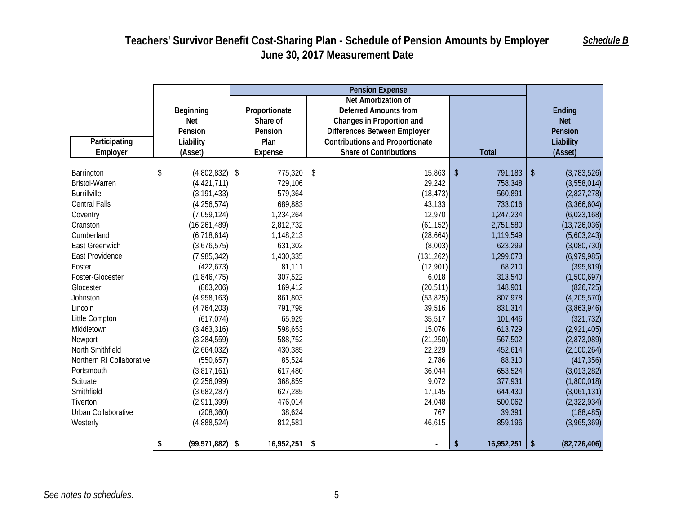## **Teachers' Survivor Benefit Cost-Sharing Plan - Schedule of Pension Amounts by Employer June 30, 2017 Measurement Date**

*Schedule B*

|                           |    |                  |                |                    |                              | <b>Net Amortization of</b>             |         |                    |               |                |
|---------------------------|----|------------------|----------------|--------------------|------------------------------|----------------------------------------|---------|--------------------|---------------|----------------|
|                           |    | Beginning        | Proportionate  |                    | <b>Deferred Amounts from</b> |                                        |         |                    |               | Ending         |
|                           |    | Net              | Share of       |                    |                              | Changes in Proportion and              |         |                    |               | <b>Net</b>     |
|                           |    | Pension          | Pension        |                    |                              | <b>Differences Between Employer</b>    |         |                    |               | Pension        |
| Participating             |    | Liability        | Plan           |                    |                              | <b>Contributions and Proportionate</b> |         |                    |               | Liability      |
| Employer                  |    | (Asset)          | <b>Expense</b> |                    |                              | <b>Share of Contributions</b>          |         | <b>Total</b>       |               | (Asset)        |
| Barrington                |    |                  |                |                    |                              |                                        |         |                    |               |                |
| <b>Bristol-Warren</b>     | \$ | $(4,802,832)$ \$ |                | 775,320<br>729,106 | \$                           | 15,863<br>29,242                       | $\sqrt$ | 791,183<br>758,348 | $\frac{1}{2}$ | (3,783,526)    |
| <b>Burrillville</b>       |    | (4, 421, 711)    |                |                    |                              |                                        |         |                    |               | (3,558,014)    |
| <b>Central Falls</b>      |    | (3, 191, 433)    |                | 579,364            |                              | (18, 473)                              |         | 560,891            |               | (2,827,278)    |
|                           |    | (4,256,574)      |                | 689,883            |                              | 43,133                                 |         | 733,016            |               | (3,366,604)    |
| Coventry                  |    | (7,059,124)      |                | 1,234,264          |                              | 12,970                                 |         | 1,247,234          |               | (6,023,168)    |
| Cranston                  |    | (16, 261, 489)   |                | 2,812,732          |                              | (61, 152)                              |         | 2,751,580          |               | (13, 726, 036) |
| Cumberland                |    | (6,718,614)      |                | 1,148,213          |                              | (28, 664)                              |         | 1,119,549          |               | (5,603,243)    |
| East Greenwich            |    | (3,676,575)      |                | 631,302            |                              | (8,003)                                |         | 623,299            |               | (3,080,730)    |
| East Providence           |    | (7,985,342)      |                | 1,430,335          |                              | (131, 262)                             |         | 1,299,073          |               | (6,979,985)    |
| Foster                    |    | (422, 673)       |                | 81,111             |                              | (12,901)                               |         | 68,210             |               | (395, 819)     |
| Foster-Glocester          |    | (1,846,475)      |                | 307,522            |                              | 6,018                                  |         | 313,540            |               | (1,500,697)    |
| Glocester                 |    | (863, 206)       |                | 169,412            |                              | (20, 511)                              |         | 148,901            |               | (826, 725)     |
| Johnston                  |    | (4,958,163)      |                | 861,803            |                              | (53, 825)                              |         | 807,978            |               | (4,205,570)    |
| Lincoln                   |    | (4,764,203)      |                | 791,798            |                              | 39,516                                 |         | 831,314            |               | (3,863,946)    |
| Little Compton            |    | (617, 074)       |                | 65,929             |                              | 35,517                                 |         | 101,446            |               | (321, 732)     |
| Middletown                |    | (3,463,316)      |                | 598,653            |                              | 15,076                                 |         | 613,729            |               | (2,921,405)    |
| Newport                   |    | (3, 284, 559)    |                | 588,752            |                              | (21, 250)                              |         | 567,502            |               | (2,873,089)    |
| North Smithfield          |    | (2,664,032)      |                | 430,385            |                              | 22,229                                 |         | 452,614            |               | (2,100,264)    |
| Northern RI Collaborative |    | (550, 657)       |                | 85,524             |                              | 2,786                                  |         | 88,310             |               | (417, 356)     |
| Portsmouth                |    | (3,817,161)      |                | 617,480            |                              | 36,044                                 |         | 653,524            |               | (3,013,282)    |
| Scituate                  |    | (2,256,099)      |                | 368,859            |                              | 9,072                                  |         | 377,931            |               | (1,800,018)    |
| Smithfield                |    | (3,682,287)      |                | 627,285            |                              | 17,145                                 |         | 644,430            |               | (3,061,131)    |
| Tiverton                  |    | (2,911,399)      |                | 476,014            |                              | 24,048                                 |         | 500,062            |               | (2,322,934)    |
| Urban Collaborative       |    | (208, 360)       |                | 38,624             |                              | 767                                    |         | 39,391             |               | (188, 485)     |
| Westerly                  |    | (4,888,524)      |                | 812,581            |                              | 46,615                                 |         | 859,196            |               | (3,965,369)    |
|                           | \$ | (99, 571, 882)   | \$             | 16,952,251         | \$                           |                                        | \$      | 16,952,251         | -\$           | (82, 726, 406) |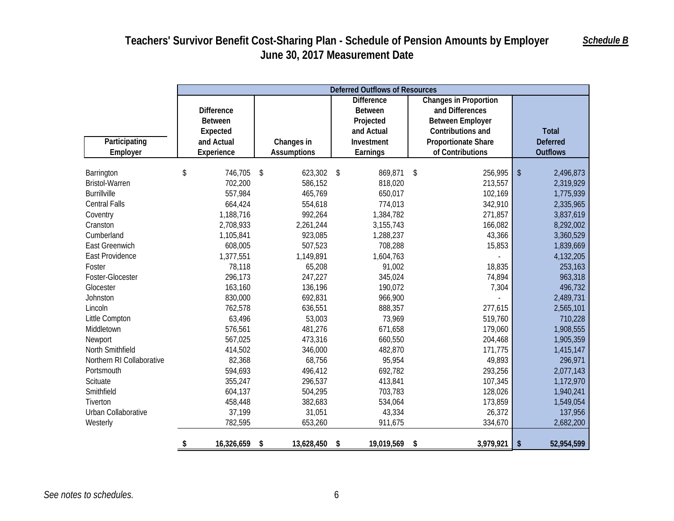## *Schedule B*

## **Teachers' Survivor Benefit Cost-Sharing Plan - Schedule of Pension Amounts by Employer June 30, 2017 Measurement Date**

|                           | <b>Deferred Outflows of Resources</b> |    |                    |            |                   |    |                              |              |                 |  |
|---------------------------|---------------------------------------|----|--------------------|------------|-------------------|----|------------------------------|--------------|-----------------|--|
|                           |                                       |    |                    |            | <b>Difference</b> |    | <b>Changes in Proportion</b> |              |                 |  |
|                           | <b>Difference</b>                     |    |                    |            | <b>Between</b>    |    | and Differences              |              |                 |  |
|                           | <b>Between</b>                        |    |                    |            | Projected         |    | <b>Between Employer</b>      |              |                 |  |
|                           | Expected                              |    |                    |            | and Actual        |    | Contributions and            |              | <b>Total</b>    |  |
| Participating             | and Actual                            |    | Changes in         |            | Investment        |    | <b>Proportionate Share</b>   |              | <b>Deferred</b> |  |
| Employer                  | Experience                            |    | <b>Assumptions</b> |            | Earnings          |    | of Contributions             |              | <b>Outflows</b> |  |
|                           |                                       |    |                    |            |                   |    |                              |              |                 |  |
| Barrington                | \$<br>746,705                         | \$ | 623,302            | $\sqrt{2}$ | 869,871           | \$ | 256,995                      | $\sqrt[6]{}$ | 2,496,873       |  |
| <b>Bristol-Warren</b>     | 702,200                               |    | 586,152            |            | 818,020           |    | 213,557                      |              | 2,319,929       |  |
| <b>Burrillville</b>       | 557,984                               |    | 465,769            |            | 650,017           |    | 102,169                      |              | 1,775,939       |  |
| <b>Central Falls</b>      | 664,424                               |    | 554,618            |            | 774,013           |    | 342,910                      |              | 2,335,965       |  |
| Coventry                  | 1,188,716                             |    | 992,264            |            | 1,384,782         |    | 271,857                      |              | 3,837,619       |  |
| Cranston                  | 2,708,933                             |    | 2,261,244          |            | 3,155,743         |    | 166,082                      |              | 8,292,002       |  |
| Cumberland                | 1,105,841                             |    | 923,085            |            | 1,288,237         |    | 43,366                       |              | 3,360,529       |  |
| East Greenwich            | 608,005                               |    | 507,523            |            | 708,288           |    | 15,853                       |              | 1,839,669       |  |
| East Providence           | 1,377,551                             |    | 1,149,891          |            | 1,604,763         |    |                              |              | 4,132,205       |  |
| Foster                    | 78,118                                |    | 65,208             |            | 91,002            |    | 18,835                       |              | 253,163         |  |
| Foster-Glocester          | 296,173                               |    | 247,227            |            | 345,024           |    | 74,894                       |              | 963,318         |  |
| Glocester                 | 163,160                               |    | 136,196            |            | 190,072           |    | 7,304                        |              | 496,732         |  |
| Johnston                  | 830,000                               |    | 692,831            |            | 966,900           |    |                              |              | 2,489,731       |  |
| Lincoln                   | 762,578                               |    | 636,551            |            | 888,357           |    | 277,615                      |              | 2,565,101       |  |
| Little Compton            | 63,496                                |    | 53,003             |            | 73,969            |    | 519,760                      |              | 710,228         |  |
| Middletown                | 576,561                               |    | 481,276            |            | 671,658           |    | 179,060                      |              | 1,908,555       |  |
| Newport                   | 567,025                               |    | 473,316            |            | 660,550           |    | 204,468                      |              | 1,905,359       |  |
| North Smithfield          | 414,502                               |    | 346,000            |            | 482,870           |    | 171,775                      |              | 1,415,147       |  |
| Northern RI Collaborative | 82,368                                |    | 68,756             |            | 95,954            |    | 49,893                       |              | 296,971         |  |
| Portsmouth                | 594,693                               |    | 496,412            |            | 692,782           |    | 293,256                      |              | 2,077,143       |  |
| Scituate                  | 355,247                               |    | 296,537            |            | 413,841           |    | 107,345                      |              | 1,172,970       |  |
| Smithfield                | 604,137                               |    | 504,295            |            | 703,783           |    | 128,026                      |              | 1,940,241       |  |
| Tiverton                  | 458,448                               |    | 382,683            |            | 534,064           |    | 173,859                      |              | 1,549,054       |  |
| Urban Collaborative       | 37,199                                |    | 31,051             |            | 43,334            |    | 26,372                       |              | 137,956         |  |
| Westerly                  | 782,595                               |    | 653,260            |            | 911,675           |    | 334,670                      |              | 2,682,200       |  |
|                           | \$<br>16,326,659                      | \$ | 13,628,450         | \$         | 19,019,569        | \$ | 3,979,921                    | \$           | 52,954,599      |  |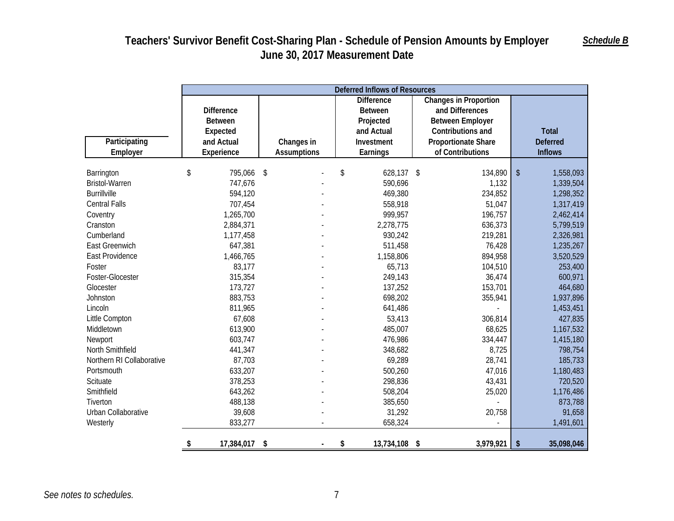## *Schedule B*

## **Teachers' Survivor Benefit Cost-Sharing Plan - Schedule of Pension Amounts by Employer June 30, 2017 Measurement Date**

|                           | <b>Deferred Inflows of Resources</b> |                   |     |                    |    |                   |                              |              |                 |
|---------------------------|--------------------------------------|-------------------|-----|--------------------|----|-------------------|------------------------------|--------------|-----------------|
|                           |                                      |                   |     |                    |    | <b>Difference</b> | <b>Changes in Proportion</b> |              |                 |
|                           |                                      | <b>Difference</b> |     |                    |    | <b>Between</b>    | and Differences              |              |                 |
|                           |                                      | <b>Between</b>    |     |                    |    | Projected         | <b>Between Employer</b>      |              |                 |
|                           |                                      | Expected          |     |                    |    | and Actual        | Contributions and            |              | <b>Total</b>    |
| Participating             |                                      | and Actual        |     | Changes in         |    | Investment        | Proportionate Share          |              | <b>Deferred</b> |
| Employer                  |                                      | Experience        |     | <b>Assumptions</b> |    | Earnings          | of Contributions             |              | <b>Inflows</b>  |
|                           |                                      |                   |     |                    |    |                   |                              |              |                 |
| Barrington                | \$                                   | 795,066 \$        |     |                    | \$ | 628,137 \$        | 134,890                      | $\sqrt[6]{}$ | 1,558,093       |
| <b>Bristol-Warren</b>     |                                      | 747,676           |     |                    |    | 590,696           | 1,132                        |              | 1,339,504       |
| <b>Burrillville</b>       |                                      | 594,120           |     |                    |    | 469,380           | 234,852                      |              | 1,298,352       |
| <b>Central Falls</b>      |                                      | 707,454           |     |                    |    | 558,918           | 51,047                       |              | 1,317,419       |
| Coventry                  |                                      | 1,265,700         |     |                    |    | 999,957           | 196,757                      |              | 2,462,414       |
| Cranston                  |                                      | 2,884,371         |     |                    |    | 2,278,775         | 636,373                      |              | 5,799,519       |
| Cumberland                |                                      | 1,177,458         |     |                    |    | 930,242           | 219,281                      |              | 2,326,981       |
| <b>East Greenwich</b>     |                                      | 647,381           |     |                    |    | 511,458           | 76,428                       |              | 1,235,267       |
| East Providence           |                                      | 1,466,765         |     |                    |    | 1,158,806         | 894,958                      |              | 3,520,529       |
| Foster                    |                                      | 83,177            |     |                    |    | 65,713            | 104,510                      |              | 253,400         |
| Foster-Glocester          |                                      | 315,354           |     |                    |    | 249,143           | 36,474                       |              | 600,971         |
| Glocester                 |                                      | 173,727           |     |                    |    | 137,252           | 153,701                      |              | 464,680         |
| Johnston                  |                                      | 883,753           |     |                    |    | 698,202           | 355,941                      |              | 1,937,896       |
| Lincoln                   |                                      | 811,965           |     |                    |    | 641,486           |                              |              | 1,453,451       |
| Little Compton            |                                      | 67,608            |     |                    |    | 53,413            | 306,814                      |              | 427,835         |
| Middletown                |                                      | 613,900           |     |                    |    | 485,007           | 68,625                       |              | 1,167,532       |
| Newport                   |                                      | 603,747           |     |                    |    | 476,986           | 334,447                      |              | 1,415,180       |
| North Smithfield          |                                      | 441,347           |     |                    |    | 348,682           | 8,725                        |              | 798,754         |
| Northern RI Collaborative |                                      | 87,703            |     |                    |    | 69,289            | 28,741                       |              | 185,733         |
| Portsmouth                |                                      | 633,207           |     |                    |    | 500,260           | 47,016                       |              | 1,180,483       |
| Scituate                  |                                      | 378,253           |     |                    |    | 298,836           | 43,431                       |              | 720,520         |
| Smithfield                |                                      | 643,262           |     |                    |    | 508,204           | 25,020                       |              | 1,176,486       |
| Tiverton                  |                                      | 488,138           |     |                    |    | 385,650           |                              |              | 873,788         |
| Urban Collaborative       |                                      | 39,608            |     |                    |    | 31,292            | 20,758                       |              | 91,658          |
| Westerly                  |                                      | 833,277           |     |                    |    | 658,324           |                              |              | 1,491,601       |
|                           |                                      |                   |     |                    |    |                   |                              |              |                 |
|                           | \$                                   | 17,384,017        | -\$ |                    | \$ | 13,734,108        | 3,979,921<br>-\$             | \$           | 35,098,046      |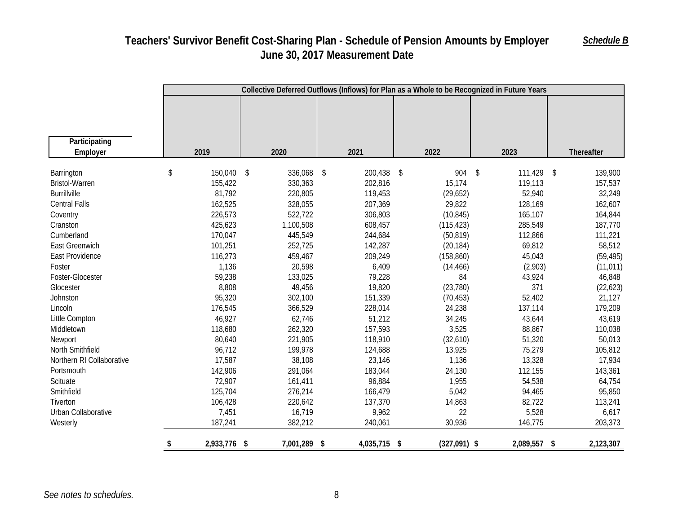## **Teachers' Survivor Benefit Cost-Sharing Plan - Schedule of Pension Amounts by Employer June 30, 2017 Measurement Date**

*Schedule B*

|                           | Collective Deferred Outflows (Inflows) for Plan as a Whole to be Recognized in Future Years |              |              |                |                            |            |  |  |
|---------------------------|---------------------------------------------------------------------------------------------|--------------|--------------|----------------|----------------------------|------------|--|--|
|                           |                                                                                             |              |              |                |                            |            |  |  |
| Participating             |                                                                                             |              |              |                |                            |            |  |  |
| Employer                  | 2019                                                                                        | 2020         | 2021         | 2022           | 2023                       | Thereafter |  |  |
| Barrington                | \$<br>150,040 \$                                                                            | 336,068 \$   | 200,438 \$   | 904            | $111,429$ \$<br>$\sqrt{3}$ | 139,900    |  |  |
| <b>Bristol-Warren</b>     | 155,422                                                                                     | 330,363      | 202,816      | 15,174         | 119,113                    | 157,537    |  |  |
| <b>Burrillville</b>       | 81,792                                                                                      | 220,805      | 119,453      | (29, 652)      | 52,940                     | 32,249     |  |  |
| <b>Central Falls</b>      | 162,525                                                                                     | 328,055      | 207,369      | 29,822         | 128,169                    | 162,607    |  |  |
| Coventry                  | 226,573                                                                                     | 522,722      | 306,803      | (10, 845)      | 165,107                    | 164,844    |  |  |
| Cranston                  | 425,623                                                                                     | 1,100,508    | 608,457      | (115, 423)     | 285,549                    | 187,770    |  |  |
| Cumberland                | 170,047                                                                                     | 445,549      | 244,684      | (50, 819)      | 112,866                    | 111,221    |  |  |
| East Greenwich            | 101,251                                                                                     | 252,725      | 142,287      | (20, 184)      | 69,812                     | 58,512     |  |  |
| East Providence           | 116,273                                                                                     | 459,467      | 209,249      | (158, 860)     | 45,043                     | (59, 495)  |  |  |
| Foster                    | 1,136                                                                                       | 20,598       | 6,409        | (14, 466)      | (2,903)                    | (11, 011)  |  |  |
| Foster-Glocester          | 59,238                                                                                      | 133,025      | 79,228       | 84             | 43,924                     | 46,848     |  |  |
| Glocester                 | 8,808                                                                                       | 49,456       | 19,820       | (23, 780)      | 371                        | (22, 623)  |  |  |
| Johnston                  | 95,320                                                                                      | 302,100      | 151,339      | (70, 453)      | 52,402                     | 21,127     |  |  |
| Lincoln                   | 176,545                                                                                     | 366,529      | 228,014      | 24,238         | 137,114                    | 179,209    |  |  |
| Little Compton            | 46,927                                                                                      | 62,746       | 51,212       | 34,245         | 43,644                     | 43,619     |  |  |
| Middletown                | 118,680                                                                                     | 262,320      | 157,593      | 3,525          | 88,867                     | 110,038    |  |  |
| Newport                   | 80,640                                                                                      | 221,905      | 118,910      | (32,610)       | 51,320                     | 50,013     |  |  |
| North Smithfield          | 96,712                                                                                      | 199,978      | 124,688      | 13,925         | 75,279                     | 105,812    |  |  |
| Northern RI Collaborative | 17,587                                                                                      | 38,108       | 23,146       | 1,136          | 13,328                     | 17,934     |  |  |
| Portsmouth                | 142,906                                                                                     | 291,064      | 183,044      | 24,130         | 112,155                    | 143,361    |  |  |
| Scituate                  | 72,907                                                                                      | 161,411      | 96,884       | 1,955          | 54,538                     | 64,754     |  |  |
| Smithfield                | 125,704                                                                                     | 276,214      | 166,479      | 5,042          | 94,465                     | 95,850     |  |  |
| Tiverton                  | 106,428                                                                                     | 220,642      | 137,370      | 14,863         | 82,722                     | 113,241    |  |  |
| Urban Collaborative       | 7,451                                                                                       | 16,719       | 9,962        | 22             | 5,528                      | 6,617      |  |  |
| Westerly                  | 187,241                                                                                     | 382,212      | 240,061      | 30,936         | 146,775                    | 203,373    |  |  |
|                           | 2,933,776 \$<br>\$                                                                          | 7,001,289 \$ | 4,035,715 \$ | $(327,091)$ \$ | 2,089,557 \$               | 2,123,307  |  |  |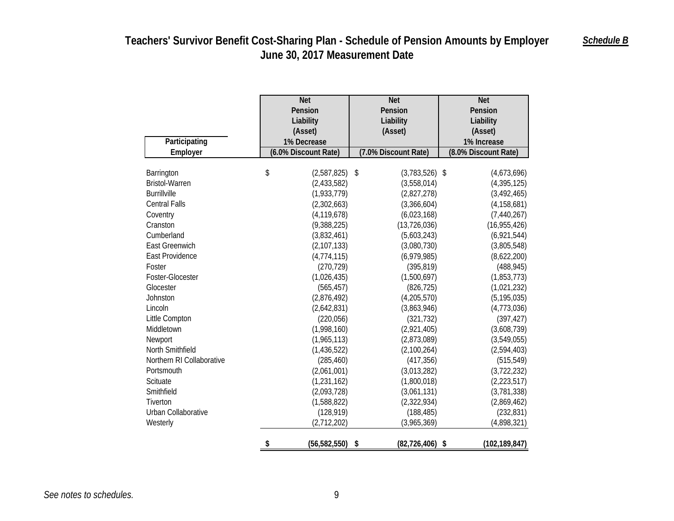## *Schedule B*

## **Teachers' Survivor Benefit Cost-Sharing Plan - Schedule of Pension Amounts by Employer June 30, 2017 Measurement Date**

|                           | <b>Net</b>           | <b>Net</b>             | <b>Net</b>            |
|---------------------------|----------------------|------------------------|-----------------------|
|                           | Pension              | Pension                | Pension               |
|                           | Liability            | Liability              | Liability             |
|                           | (Asset)              | (Asset)                | (Asset)               |
| Participating             | 1% Decrease          |                        | 1% Increase           |
| Employer                  | (6.0% Discount Rate) | (7.0% Discount Rate)   | (8.0% Discount Rate)  |
|                           |                      |                        |                       |
| Barrington                | \$<br>(2,587,825)    | \$<br>$(3,783,526)$ \$ | (4,673,696)           |
| <b>Bristol-Warren</b>     | (2,433,582)          | (3,558,014)            | (4, 395, 125)         |
| <b>Burrillville</b>       | (1,933,779)          | (2,827,278)            | (3, 492, 465)         |
| <b>Central Falls</b>      | (2,302,663)          | (3,366,604)            | (4, 158, 681)         |
| Coventry                  | (4, 119, 678)        | (6,023,168)            | (7,440,267)           |
| Cranston                  | (9,388,225)          | (13, 726, 036)         | (16, 955, 426)        |
| Cumberland                | (3,832,461)          | (5,603,243)            | (6,921,544)           |
| East Greenwich            | (2, 107, 133)        | (3,080,730)            | (3,805,548)           |
| East Providence           | (4, 774, 115)        | (6,979,985)            | (8,622,200)           |
| Foster                    | (270, 729)           | (395, 819)             | (488, 945)            |
| Foster-Glocester          | (1,026,435)          | (1,500,697)            | (1,853,773)           |
| Glocester                 | (565, 457)           | (826, 725)             | (1,021,232)           |
| Johnston                  | (2,876,492)          | (4,205,570)            | (5, 195, 035)         |
| Lincoln                   | (2,642,831)          | (3,863,946)            | (4,773,036)           |
| Little Compton            | (220,056)            | (321, 732)             | (397, 427)            |
| Middletown                | (1,998,160)          | (2,921,405)            | (3,608,739)           |
| Newport                   | (1,965,113)          | (2,873,089)            | (3,549,055)           |
| North Smithfield          | (1,436,522)          | (2,100,264)            | (2,594,403)           |
| Northern RI Collaborative | (285, 460)           | (417, 356)             | (515, 549)            |
| Portsmouth                | (2,061,001)          | (3,013,282)            | (3,722,232)           |
| Scituate                  | (1, 231, 162)        | (1,800,018)            | (2, 223, 517)         |
| Smithfield                | (2,093,728)          | (3,061,131)            | (3,781,338)           |
| Tiverton                  | (1,588,822)          | (2,322,934)            | (2,869,462)           |
| Urban Collaborative       | (128, 919)           | (188, 485)             | (232, 831)            |
| Westerly                  | (2,712,202)          | (3,965,369)            | (4,898,321)           |
|                           | \$<br>(56, 582, 550) | \$<br>(82,726,406)     | (102, 189, 847)<br>\$ |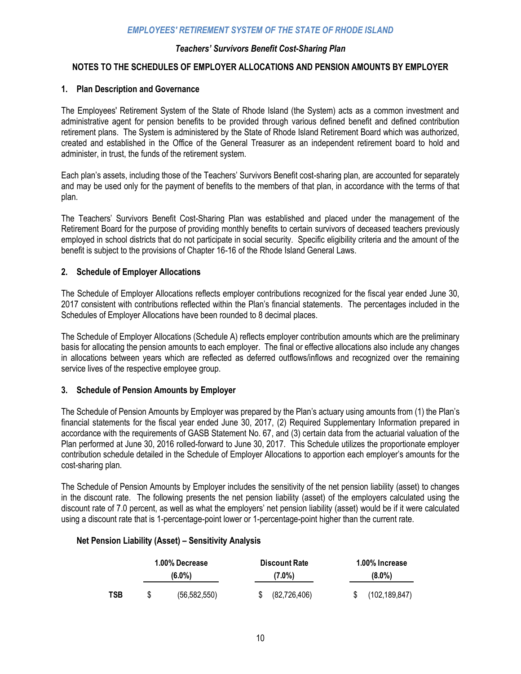## *Teachers' Survivors Benefit Cost-Sharing Plan*

## **NOTES TO THE SCHEDULES OF EMPLOYER ALLOCATIONS AND PENSION AMOUNTS BY EMPLOYER**

## **1. Plan Description and Governance**

The Employees' Retirement System of the State of Rhode Island (the System) acts as a common investment and administrative agent for pension benefits to be provided through various defined benefit and defined contribution retirement plans. The System is administered by the State of Rhode Island Retirement Board which was authorized, created and established in the Office of the General Treasurer as an independent retirement board to hold and administer, in trust, the funds of the retirement system.

Each plan's assets, including those of the Teachers' Survivors Benefit cost-sharing plan, are accounted for separately and may be used only for the payment of benefits to the members of that plan, in accordance with the terms of that plan.

The Teachers' Survivors Benefit Cost-Sharing Plan was established and placed under the management of the Retirement Board for the purpose of providing monthly benefits to certain survivors of deceased teachers previously employed in school districts that do not participate in social security. Specific eligibility criteria and the amount of the benefit is subject to the provisions of Chapter 16-16 of the Rhode Island General Laws.

## **2. Schedule of Employer Allocations**

The Schedule of Employer Allocations reflects employer contributions recognized for the fiscal year ended June 30, 2017 consistent with contributions reflected within the Plan's financial statements. The percentages included in the Schedules of Employer Allocations have been rounded to 8 decimal places.

The Schedule of Employer Allocations (Schedule A) reflects employer contribution amounts which are the preliminary basis for allocating the pension amounts to each employer. The final or effective allocations also include any changes in allocations between years which are reflected as deferred outflows/inflows and recognized over the remaining service lives of the respective employee group.

## **3. Schedule of Pension Amounts by Employer**

The Schedule of Pension Amounts by Employer was prepared by the Plan's actuary using amounts from (1) the Plan's financial statements for the fiscal year ended June 30, 2017, (2) Required Supplementary Information prepared in accordance with the requirements of GASB Statement No. 67, and (3) certain data from the actuarial valuation of the Plan performed at June 30, 2016 rolled-forward to June 30, 2017. This Schedule utilizes the proportionate employer contribution schedule detailed in the Schedule of Employer Allocations to apportion each employer's amounts for the cost-sharing plan.

The Schedule of Pension Amounts by Employer includes the sensitivity of the net pension liability (asset) to changes in the discount rate. The following presents the net pension liability (asset) of the employers calculated using the discount rate of 7.0 percent, as well as what the employers' net pension liability (asset) would be if it were calculated using a discount rate that is 1-percentage-point lower or 1-percentage-point higher than the current rate.

#### **Net Pension Liability (Asset) – Sensitivity Analysis**

|            |   | 1.00% Decrease<br>$(6.0\%)$ | <b>Discount Rate</b><br>$(7.0\%)$ | 1.00% Increase<br>$(8.0\%)$ |                 |  |
|------------|---|-----------------------------|-----------------------------------|-----------------------------|-----------------|--|
| <b>TSB</b> | S | (56, 582, 550)              | (82,726,406)                      |                             | (102, 189, 847) |  |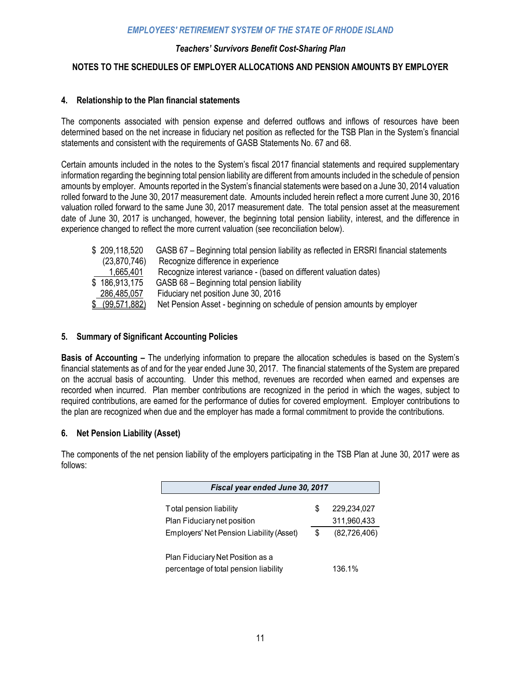## *Teachers' Survivors Benefit Cost-Sharing Plan*

## **NOTES TO THE SCHEDULES OF EMPLOYER ALLOCATIONS AND PENSION AMOUNTS BY EMPLOYER**

#### **4. Relationship to the Plan financial statements**

The components associated with pension expense and deferred outflows and inflows of resources have been determined based on the net increase in fiduciary net position as reflected for the TSB Plan in the System's financial statements and consistent with the requirements of GASB Statements No. 67 and 68.

Certain amounts included in the notes to the System's fiscal 2017 financial statements and required supplementary information regarding the beginning total pension liability are different from amounts included in the schedule of pension amounts by employer. Amounts reported in the System's financial statements were based on a June 30, 2014 valuation rolled forward to the June 30, 2017 measurement date. Amounts included herein reflect a more current June 30, 2016 valuation rolled forward to the same June 30, 2017 measurement date. The total pension asset at the measurement date of June 30, 2017 is unchanged, however, the beginning total pension liability, interest, and the difference in experience changed to reflect the more current valuation (see reconciliation below).

| \$209,118,520   | GASB 67 - Beginning total pension liability as reflected in ERSRI financial statements |
|-----------------|----------------------------------------------------------------------------------------|
| (23,870,746)    | Recognize difference in experience                                                     |
| 1,665,401       | Recognize interest variance - (based on different valuation dates)                     |
| \$186,913,175   | GASB 68 - Beginning total pension liability                                            |
| 286,485,057     | Fiduciary net position June 30, 2016                                                   |
| \$ (99,571,882) | Net Pension Asset - beginning on schedule of pension amounts by employer               |

#### **5. Summary of Significant Accounting Policies**

**Basis of Accounting –** The underlying information to prepare the allocation schedules is based on the System's financial statements as of and for the year ended June 30, 2017. The financial statements of the System are prepared on the accrual basis of accounting. Under this method, revenues are recorded when earned and expenses are recorded when incurred. Plan member contributions are recognized in the period in which the wages, subject to required contributions, are earned for the performance of duties for covered employment. Employer contributions to the plan are recognized when due and the employer has made a formal commitment to provide the contributions.

#### **6. Net Pension Liability (Asset)**

The components of the net pension liability of the employers participating in the TSB Plan at June 30, 2017 were as follows:

| Fiscal year ended June 30, 2017          |    |                |  |  |  |  |  |
|------------------------------------------|----|----------------|--|--|--|--|--|
| Total pension liability                  | \$ | 229,234,027    |  |  |  |  |  |
| Plan Fiduciary net position              |    | 311,960,433    |  |  |  |  |  |
| Employers' Net Pension Liability (Asset) | \$ | (82, 726, 406) |  |  |  |  |  |
| Plan Fiduciary Net Position as a         |    |                |  |  |  |  |  |
| percentage of total pension liability    |    | 136.1%         |  |  |  |  |  |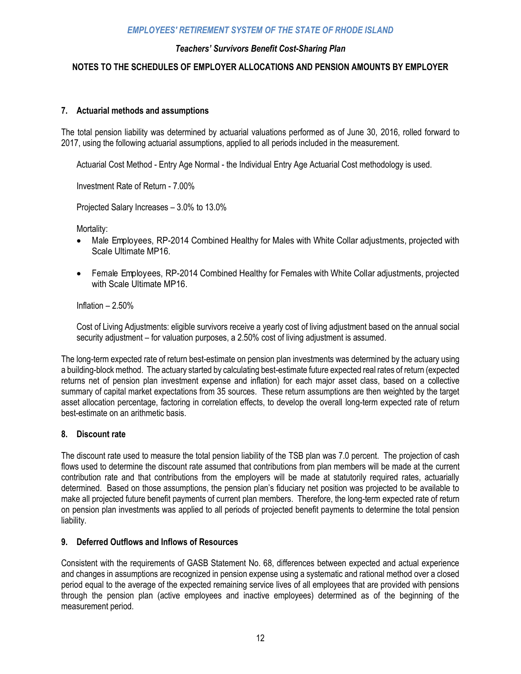## *Teachers' Survivors Benefit Cost-Sharing Plan*

## **NOTES TO THE SCHEDULES OF EMPLOYER ALLOCATIONS AND PENSION AMOUNTS BY EMPLOYER**

#### **7. Actuarial methods and assumptions**

The total pension liability was determined by actuarial valuations performed as of June 30, 2016, rolled forward to 2017, using the following actuarial assumptions, applied to all periods included in the measurement.

Actuarial Cost Method - Entry Age Normal - the Individual Entry Age Actuarial Cost methodology is used.

Investment Rate of Return - 7.00%

Projected Salary Increases – 3.0% to 13.0%

Mortality:

- Male Employees, RP-2014 Combined Healthy for Males with White Collar adjustments, projected with Scale Ultimate MP16.
- Female Employees, RP-2014 Combined Healthy for Females with White Collar adjustments, projected with Scale Ultimate MP16.

Inflation – 2.50%

Cost of Living Adjustments: eligible survivors receive a yearly cost of living adjustment based on the annual social security adjustment – for valuation purposes, a 2.50% cost of living adjustment is assumed.

The long-term expected rate of return best-estimate on pension plan investments was determined by the actuary using a building-block method. The actuary started by calculating best-estimate future expected real rates of return (expected returns net of pension plan investment expense and inflation) for each major asset class, based on a collective summary of capital market expectations from 35 sources. These return assumptions are then weighted by the target asset allocation percentage, factoring in correlation effects, to develop the overall long-term expected rate of return best-estimate on an arithmetic basis.

#### **8. Discount rate**

The discount rate used to measure the total pension liability of the TSB plan was 7.0 percent. The projection of cash flows used to determine the discount rate assumed that contributions from plan members will be made at the current contribution rate and that contributions from the employers will be made at statutorily required rates, actuarially determined. Based on those assumptions, the pension plan's fiduciary net position was projected to be available to make all projected future benefit payments of current plan members. Therefore, the long-term expected rate of return on pension plan investments was applied to all periods of projected benefit payments to determine the total pension liability.

#### **9. Deferred Outflows and Inflows of Resources**

Consistent with the requirements of GASB Statement No. 68, differences between expected and actual experience and changes in assumptions are recognized in pension expense using a systematic and rational method over a closed period equal to the average of the expected remaining service lives of all employees that are provided with pensions through the pension plan (active employees and inactive employees) determined as of the beginning of the measurement period.